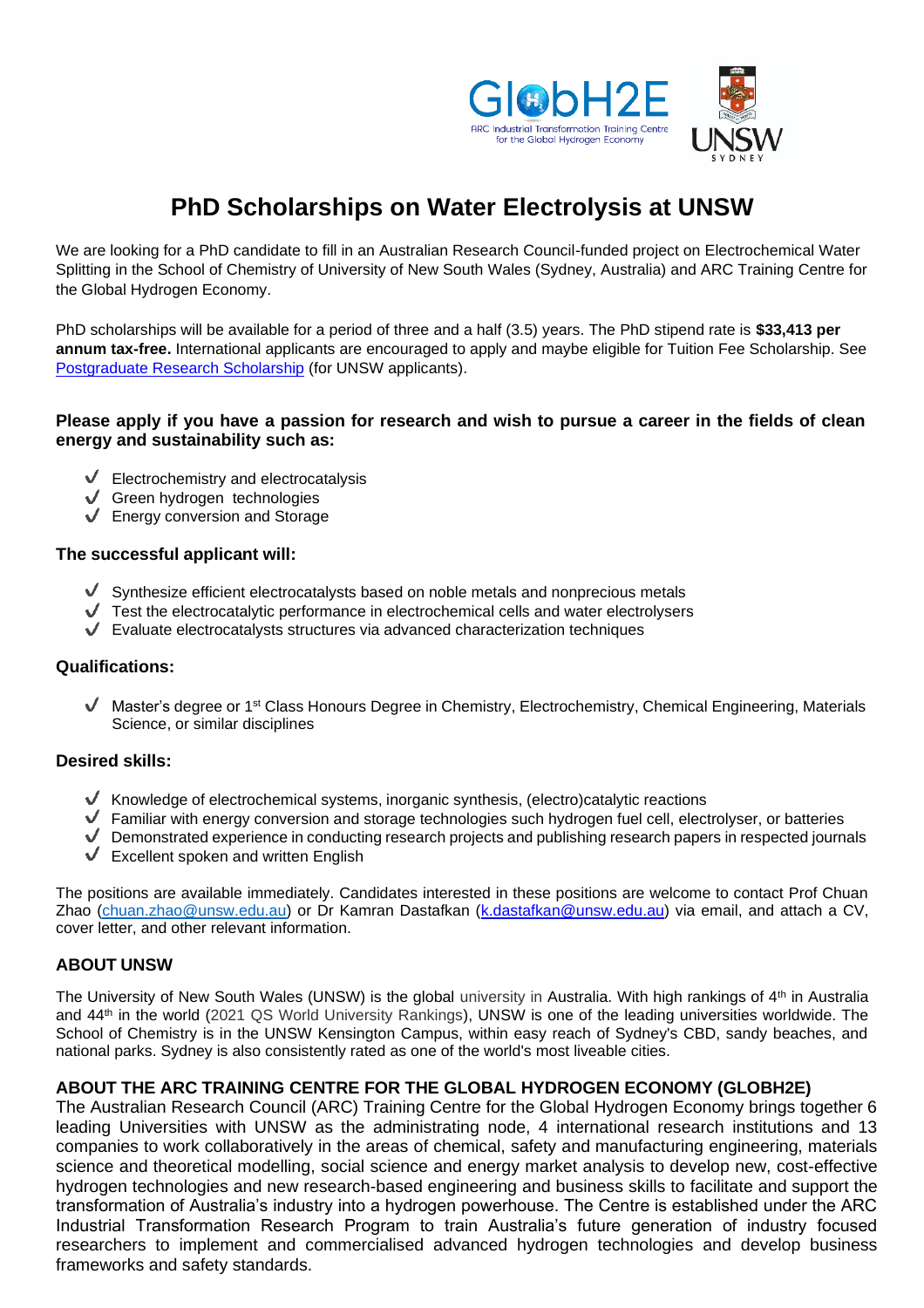

# **PhD Scholarships on Water Electrolysis at UNSW**

We are looking for a PhD candidate to fill in an Australian Research Council-funded project on Electrochemical Water Splitting in the School of Chemistry of University of New South Wales (Sydney, Australia) and ARC Training Centre for the Global Hydrogen Economy.

PhD scholarships will be available for a period of three and a half (3.5) years. The PhD stipend rate is **\$33,413 per annum tax-free.** International applicants are encouraged to apply and maybe eligible for Tuition Fee Scholarship. See Postgraduate [Research Scholarship](https://research.unsw.edu.au/graduate-research-scholarships) (for UNSW applicants).

### Please apply if you have a passion for research and wish to pursue a career in the fields of clean **energy and sustainability such as:**

- $\sqrt{\phantom{a}}$  Electrochemistry and electrocatalysis
- $\sqrt{\phantom{a}}$  Green hydrogen technologies
- $\sqrt{\phantom{a}}$  Energy conversion and Storage

#### **The successful applicant will:**

- $\checkmark$  Synthesize efficient electrocatalysts based on noble metals and nonprecious metals
- $\checkmark$  Test the electrocatalytic performance in electrochemical cells and water electrolysers
- $\checkmark$  Evaluate electrocatalysts structures via advanced characterization techniques

#### **Qualifications:**

Master's degree or 1<sup>st</sup> Class Honours Degree in Chemistry, Electrochemistry, Chemical Engineering, Materials Science, or similar disciplines

#### **Desired skills:**

- $\checkmark$  Knowledge of electrochemical systems, inorganic synthesis, (electro)catalytic reactions
- Familiar with energy conversion and storage technologies such hydrogen fuel cell, electrolyser, or batteries
- Demonstrated experience in conducting research projects and publishing research papers in respected journals
- $\checkmark$  Excellent spoken and written English

The positions are available immediately. Candidates interested in these positions are welcome to contact Prof Chuan Zhao (chuan.zhao@unsw.edu.au) or Dr Kamran Dastafkan (k.dastafkan@unsw.edu.au) via email, and attach a CV, cover letter, and other relevant information.

#### **ABOUT UNSW**

The University of New South Wales (UNSW) is the global university in Australia. With high rankings of 4<sup>th</sup> in Australia and 44<sup>th</sup> in the world (2021 QS World University Rankings), UNSW is one of the leading universities worldwide. The School of Chemistry is in the UNSW Kensington Campus, within easy reach of Sydney's CBD, sandy beaches, and national parks. Sydney is also consistently rated as one of the world's most liveable cities.

#### **ABOUT THE ARC TRAINING CENTRE FOR THE GLOBAL HYDROGEN ECONOMY (GLOBH2E)**

The Australian Research Council (ARC) Training Centre for the Global Hydrogen Economy brings together 6 leading Universities with UNSW as the administrating node, 4 international research institutions and 13 companies to work collaboratively in the areas of chemical, safety and manufacturing engineering, materials science and theoretical modelling, social science and energy market analysis to develop new, cost-effective hydrogen technologies and new research-based engineering and business skills to facilitate and support the transformation of Australia's industry into a hydrogen powerhouse. The Centre is established under the ARC Industrial Transformation Research Program to train Australia's future generation of industry focused researchers to implement and commercialised advanced hydrogen technologies and develop business frameworks and safety standards.